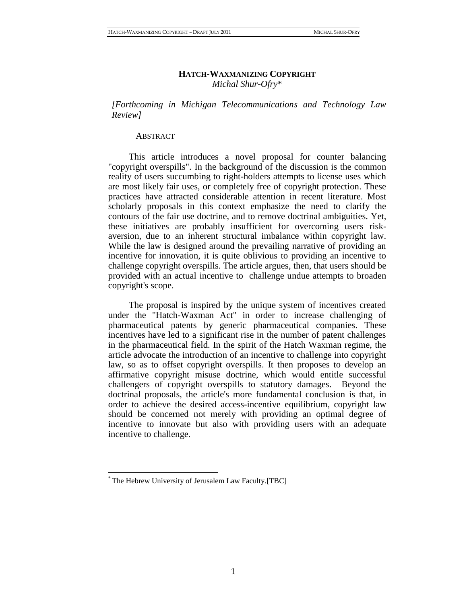## **HATCH-WAXMANIZING COPYRIGHT** *Michal Shur-Ofry*\*

*[Forthcoming in Michigan Telecommunications and Technology Law Review]*

#### ABSTRACT

This article introduces a novel proposal for counter balancing "copyright overspills". In the background of the discussion is the common reality of users succumbing to right-holders attempts to license uses which are most likely fair uses, or completely free of copyright protection. These practices have attracted considerable attention in recent literature. Most scholarly proposals in this context emphasize the need to clarify the contours of the fair use doctrine, and to remove doctrinal ambiguities. Yet, these initiatives are probably insufficient for overcoming users riskaversion, due to an inherent structural imbalance within copyright law. While the law is designed around the prevailing narrative of providing an incentive for innovation, it is quite oblivious to providing an incentive to challenge copyright overspills. The article argues, then, that users should be provided with an actual incentive to challenge undue attempts to broaden copyright's scope.

The proposal is inspired by the unique system of incentives created under the "Hatch-Waxman Act" in order to increase challenging of pharmaceutical patents by generic pharmaceutical companies. These incentives have led to a significant rise in the number of patent challenges in the pharmaceutical field. In the spirit of the Hatch Waxman regime, the article advocate the introduction of an incentive to challenge into copyright law, so as to offset copyright overspills. It then proposes to develop an affirmative copyright misuse doctrine, which would entitle successful challengers of copyright overspills to statutory damages. Beyond the doctrinal proposals, the article's more fundamental conclusion is that, in order to achieve the desired access-incentive equilibrium, copyright law should be concerned not merely with providing an optimal degree of incentive to innovate but also with providing users with an adequate incentive to challenge.

<sup>\*</sup> The Hebrew University of Jerusalem Law Faculty.[TBC]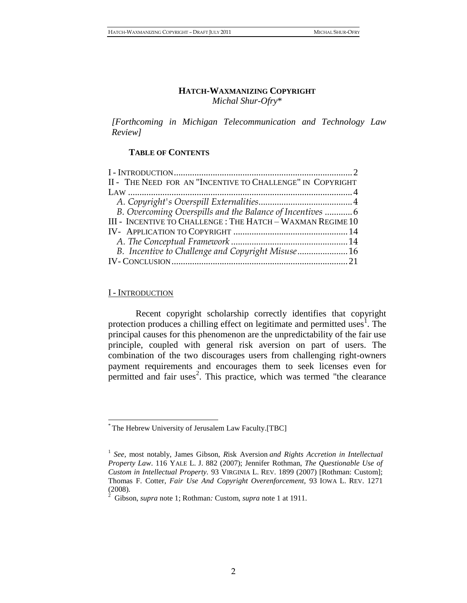### **HATCH-WAXMANIZING COPYRIGHT** *Michal Shur-Ofry*\*

*[Forthcoming in Michigan Telecommunication and Technology Law Review]*

## **TABLE OF CONTENTS**

| II - THE NEED FOR AN "INCENTIVE TO CHALLENGE" IN COPYRIGHT  |  |
|-------------------------------------------------------------|--|
|                                                             |  |
|                                                             |  |
| B. Overcoming Overspills and the Balance of Incentives  6   |  |
| III - INCENTIVE TO CHALLENGE : THE HATCH - WAXMAN REGIME 10 |  |
|                                                             |  |
|                                                             |  |
|                                                             |  |
|                                                             |  |
|                                                             |  |

# <span id="page-1-0"></span>I - INTRODUCTION

 $\overline{a}$ 

<span id="page-1-1"></span>Recent copyright scholarship correctly identifies that copyright protection produces a chilling effect on legitimate and permitted uses<sup>1</sup>. The principal causes for this phenomenon are the unpredictability of the fair use principle, coupled with general risk aversion on part of users. The combination of the two discourages users from challenging right-owners payment requirements and encourages them to seek licenses even for permitted and fair uses<sup>2</sup>. This practice, which was termed "the clearance

<sup>\*</sup> The Hebrew University of Jerusalem Law Faculty.[TBC]

<sup>&</sup>lt;sup>1</sup> See, most notably, James Gibson, Risk Aversion and Rights Accretion in Intellectual *Property Law*. 116 YALE L. J. 882 (2007); Jennifer Rothman, *The Questionable Use of Custom in Intellectual Property.* 93 VIRGINIA L. REV. 1899 (2007) [Rothman: Custom]; Thomas F. Cotter, *Fair Use And Copyright Overenforcement,* 93 IOWA L. REV. 1271 (2008)*.*

<sup>2</sup> Gibson, *supra* note [1;](#page-1-1) Rothman*:* Custom, *supra* note [1](#page-1-1) at 1911.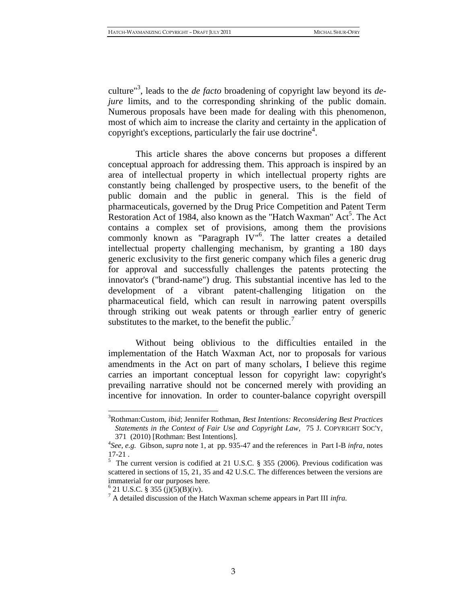<span id="page-2-0"></span>culture"<sup>3</sup> , leads to the *de facto* broadening of copyright law beyond its *dejure* limits, and to the corresponding shrinking of the public domain. Numerous proposals have been made for dealing with this phenomenon, most of which aim to increase the clarity and certainty in the application of copyright's exceptions, particularly the fair use doctrine<sup>4</sup>.

<span id="page-2-1"></span>This article shares the above concerns but proposes a different conceptual approach for addressing them. This approach is inspired by an area of intellectual property in which intellectual property rights are constantly being challenged by prospective users, to the benefit of the public domain and the public in general. This is the field of pharmaceuticals, governed by the Drug Price Competition and Patent Term Restoration Act of 1984, also known as the "Hatch Waxman" Act<sup>5</sup>. The Act contains a complex set of provisions, among them the provisions commonly known as "Paragraph IV"<sup>6</sup>. The latter creates a detailed intellectual property challenging mechanism, by granting a 180 days generic exclusivity to the first generic company which files a generic drug for approval and successfully challenges the patents protecting the innovator's ("brand-name") drug. This substantial incentive has led to the development of a vibrant patent-challenging litigation on the pharmaceutical field, which can result in narrowing patent overspills through striking out weak patents or through earlier entry of generic substitutes to the market, to the benefit the public. $\frac{7}{1}$ 

Without being oblivious to the difficulties entailed in the implementation of the Hatch Waxman Act, nor to proposals for various amendments in the Act on part of many scholars, I believe this regime carries an important conceptual lesson for copyright law: copyright's prevailing narrative should not be concerned merely with providing an incentive for innovation. In order to counter-balance copyright overspill

<sup>3</sup>Rothman:Custom, *ibid*; Jennifer Rothman, *Best Intentions: Reconsidering Best Practices Statements in the Context of Fair Use and Copyright Law*, 75 J. COPYRIGHT SOC'Y, 371 (2010) [Rothman: Best Intentions].

<sup>4</sup> *See, e.g.* Gibson, *supra* note [1,](#page-1-1) at pp. 935-47 and the references in Part I-B *infra,* notes [17](#page-5-1)[-21](#page-6-0) *.* 

 $5^{17-21}$ .<br>
The current version is codified at 21 U.S.C. § 355 (2006). Previous codification was scattered in sections of 15, 21, 35 and 42 U.S.C. The differences between the versions are immaterial for our purposes here.

 $6$  21 U.S.C. § 355 (j)(5)(B)(iv).

<sup>7</sup> A detailed discussion of the Hatch Waxman scheme appears in Part III *infra.*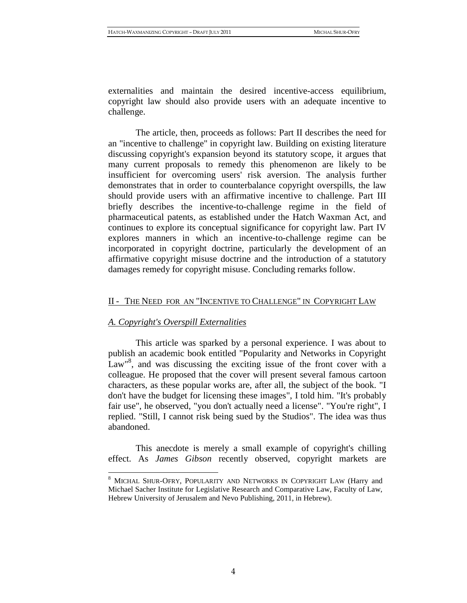externalities and maintain the desired incentive-access equilibrium, copyright law should also provide users with an adequate incentive to challenge.

The article, then, proceeds as follows: Part II describes the need for an "incentive to challenge" in copyright law. Building on existing literature discussing copyright's expansion beyond its statutory scope, it argues that many current proposals to remedy this phenomenon are likely to be insufficient for overcoming users' risk aversion. The analysis further demonstrates that in order to counterbalance copyright overspills, the law should provide users with an affirmative incentive to challenge. Part III briefly describes the incentive-to-challenge regime in the field of pharmaceutical patents, as established under the Hatch Waxman Act, and continues to explore its conceptual significance for copyright law. Part IV explores manners in which an incentive-to-challenge regime can be incorporated in copyright doctrine, particularly the development of an affirmative copyright misuse doctrine and the introduction of a statutory damages remedy for copyright misuse. Concluding remarks follow.

# <span id="page-3-0"></span>II - THE NEED FOR AN "INCENTIVE TO CHALLENGE" IN COPYRIGHT LAW

## <span id="page-3-1"></span>*A. Copyright's Overspill Externalities*

 $\overline{a}$ 

This article was sparked by a personal experience. I was about to publish an academic book entitled "Popularity and Networks in Copyright Law<sup>18</sup>, and was discussing the exciting issue of the front cover with a colleague. He proposed that the cover will present several famous cartoon characters, as these popular works are, after all, the subject of the book. "I don't have the budget for licensing these images", I told him. "It's probably fair use", he observed, "you don't actually need a license". "You're right", I replied. "Still, I cannot risk being sued by the Studios". The idea was thus abandoned.

This anecdote is merely a small example of copyright's chilling effect. As *James Gibson* recently observed, copyright markets are

<sup>8</sup> MICHAL SHUR-OFRY, POPULARITY AND NETWORKS IN COPYRIGHT LAW (Harry and Michael Sacher Institute for Legislative Research and Comparative Law, Faculty of Law, Hebrew University of Jerusalem and Nevo Publishing, 2011, in Hebrew).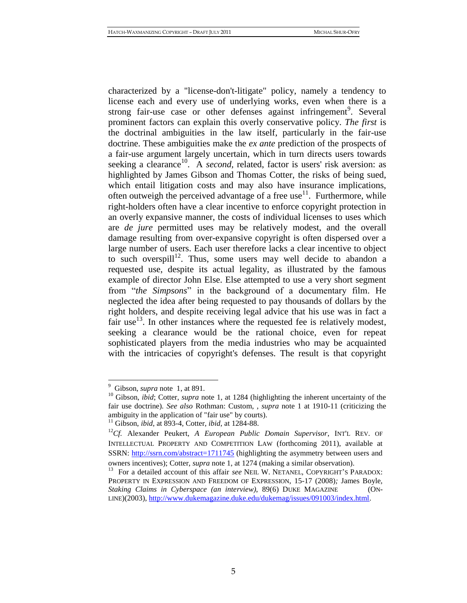<span id="page-4-1"></span>characterized by a "license-don't-litigate" policy, namely a tendency to license each and every use of underlying works, even when there is a strong fair-use case or other defenses against infringement<sup>9</sup>. Several prominent factors can explain this overly conservative policy. *The first* is the doctrinal ambiguities in the law itself, particularly in the fair-use doctrine. These ambiguities make the *ex ante* prediction of the prospects of a fair-use argument largely uncertain, which in turn directs users towards seeking a clearance<sup>10</sup>. A *second*, related, factor is users' risk aversion: as highlighted by James Gibson and Thomas Cotter, the risks of being sued, which entail litigation costs and may also have insurance implications, often outweigh the perceived advantage of a free use $^{11}$ . Furthermore, while right-holders often have a clear incentive to enforce copyright protection in an overly expansive manner, the costs of individual licenses to uses which are *de jure* permitted uses may be relatively modest, and the overall damage resulting from over-expansive copyright is often dispersed over a large number of users. Each user therefore lacks a clear incentive to object to such overspill<sup>12</sup>. Thus, some users may well decide to abandon a requested use, despite its actual legality, as illustrated by the famous example of director John Else. Else attempted to use a very short segment from "*the Simpsons*" in the background of a documentary film. He neglected the idea after being requested to pay thousands of dollars by the right holders, and despite receiving legal advice that his use was in fact a fair use<sup>13</sup>. In other instances where the requested fee is relatively modest, seeking a clearance would be the rational choice, even for repeat sophisticated players from the media industries who may be acquainted with the intricacies of copyright's defenses. The result is that copyright

<span id="page-4-2"></span><span id="page-4-0"></span><sup>9</sup> Gibson, *supra* note [1,](#page-1-1) at 891.

<sup>&</sup>lt;sup>10</sup> Gibson, *ibid*; Cotter, *supra* note [1,](#page-1-1) at 1284 (highlighting the inherent uncertainty of the fair use doctrine)*. See also* Rothman: Custom, , *supra* note [1](#page-1-1) at 1910-11 (criticizing the ambiguity in the application of "fair use" by courts).

<sup>11</sup> Gibson, *ibid*, at 893-4, Cotter, *ibid,* at 1284-88.

<sup>12</sup>*Cf.* Alexander Peukert, *A European Public Domain Supervisor*, INT'L REV. OF INTELLECTUAL PROPERTY AND COMPETITION LAW (forthcoming 2011), available at SSRN:<http://ssrn.com/abstract=1711745> (highlighting the asymmetry between users and owners incentives); Cotter, *supra* note [1,](#page-1-1) at 1274 (making a similar observation).

<sup>&</sup>lt;sup>13</sup> For a detailed account of this affair *see* NEIL W. NETANEL, COPYRIGHT'S PARADOX: PROPERTY IN EXPRESSION AND FREEDOM OF EXPRESSION, 15-17 (2008)*;* James Boyle, *Staking Claims in Cyberspace (an interview)*, 89(6) DUKE MAGAZINE (ON-LINE)(2003), [http://www.dukemagazine.duke.edu/dukemag/issues/091003/index.html.](http://www.dukemagazine.duke.edu/dukemag/issues/091003/index.html)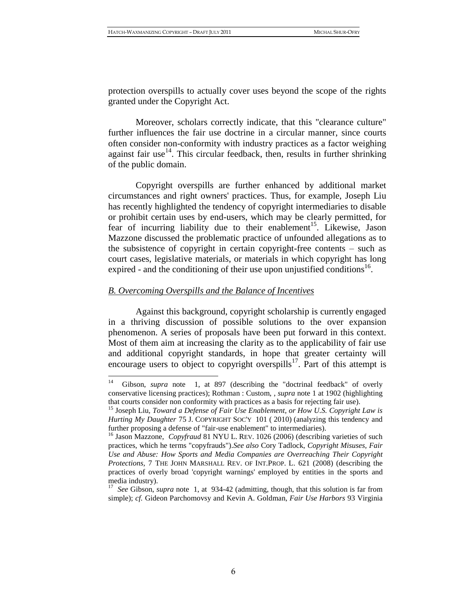protection overspills to actually cover uses beyond the scope of the rights granted under the Copyright Act.

Moreover, scholars correctly indicate, that this "clearance culture" further influences the fair use doctrine in a circular manner, since courts often consider non-conformity with industry practices as a factor weighing against fair use<sup>14</sup>. This circular feedback, then, results in further shrinking of the public domain.

<span id="page-5-3"></span>Copyright overspills are further enhanced by additional market circumstances and right owners' practices. Thus, for example, Joseph Liu has recently highlighted the tendency of copyright intermediaries to disable or prohibit certain uses by end-users, which may be clearly permitted, for fear of incurring liability due to their enablement<sup>15</sup>. Likewise, Jason Mazzone discussed the problematic practice of unfounded allegations as to the subsistence of copyright in certain copyright-free contents – such as court cases, legislative materials, or materials in which copyright has long expired - and the conditioning of their use upon unjustified conditions<sup>16</sup>.

## <span id="page-5-2"></span><span id="page-5-0"></span>*B. Overcoming Overspills and the Balance of Incentives*

<span id="page-5-1"></span> $\overline{a}$ 

Against this background, copyright scholarship is currently engaged in a thriving discussion of possible solutions to the over expansion phenomenon. A series of proposals have been put forward in this context. Most of them aim at increasing the clarity as to the applicability of fair use and additional copyright standards, in hope that greater certainty will encourage users to object to copyright overspills<sup>17</sup>. Part of this attempt is

<sup>14</sup> Gibson, *supra* note [1,](#page-1-1) at 897 (describing the "doctrinal feedback" of overly conservative licensing practices); Rothman : Custom, , *supra* note [1](#page-1-1) at 1902 (highlighting that courts consider non conformity with practices as a basis for rejecting fair use).

<sup>15</sup> Joseph Liu*, Toward a Defense of Fair Use Enablement, or How U.S. Copyright Law is Hurting My Daughter* 75 J. COPYRIGHT SOC'Y 101 ( 2010) (analyzing this tendency and further proposing a defense of "fair-use enablement" to intermediaries).

<sup>&</sup>lt;sup>16</sup> Jason Mazzone, *Copyfraud* 81 NYU L. REV. 1026 (2006) (describing varieties of such practices, which he terms "copyfrauds").*See also* Cory Tadlock, *Copyright Misuses, Fair Use and Abuse: How Sports and Media Companies are Overreaching Their Copyright Protections,* 7 THE JOHN MARSHALL REV. OF INT.PROP. L. 621 (2008) (describing the practices of overly broad 'copyright warnings' employed by entities in the sports and media industry).

<sup>17</sup> *See* Gibson, *supra* note [1,](#page-1-1) at 934-42 (admitting, though, that this solution is far from simple); *cf.* Gideon Parchomovsy and Kevin A. Goldman, *Fair Use Harbors* 93 Virginia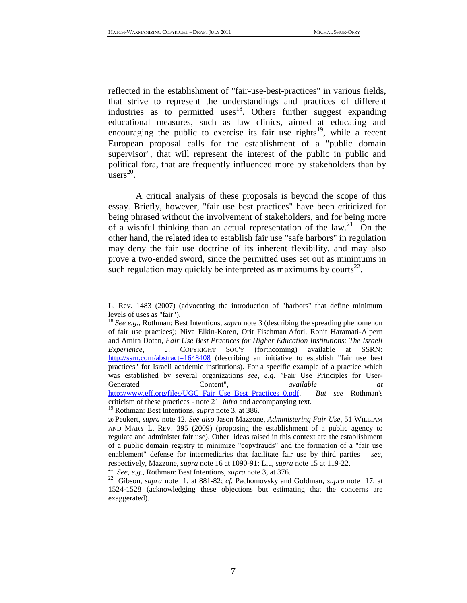reflected in the establishment of "fair-use-best-practices" in various fields, that strive to represent the understandings and practices of different industries as to permitted uses<sup>18</sup>. Others further suggest expanding educational measures, such as law clinics, aimed at educating and encouraging the public to exercise its fair use rights<sup>19</sup>, while a recent European proposal calls for the establishment of a "public domain supervisor", that will represent the interest of the public in public and political fora, that are frequently influenced more by stakeholders than by  $\text{users}^{20}$ .

<span id="page-6-2"></span><span id="page-6-1"></span><span id="page-6-0"></span>A critical analysis of these proposals is beyond the scope of this essay. Briefly, however, "fair use best practices" have been criticized for being phrased without the involvement of stakeholders, and for being more of a wishful thinking than an actual representation of the  $law$ <sup>21</sup>. On the other hand, the related idea to establish fair use "safe harbors" in regulation may deny the fair use doctrine of its inherent flexibility, and may also prove a two-ended sword, since the permitted uses set out as minimums in such regulation may quickly be interpreted as maximums by courts<sup>22</sup>.

L. Rev. 1483 (2007) (advocating the introduction of "harbors" that define minimum levels of uses as "fair").

<sup>18</sup> *See e.g.,* Rothman: Best Intentions, *supra* note [3](#page-2-0) (describing the spreading phenomenon of fair use practices); Niva Elkin-Koren, Orit Fischman Afori, Ronit Haramati-Alpern and Amira Dotan, *Fair Use Best Practices for Higher Education Institutions: The Israeli Experience*, J. COPYRIGHT SOC'Y (forthcoming) available at SSRN: <http://ssrn.com/abstract=1648408> (describing an initiative to establish "fair use best practices" for Israeli academic institutions). For a specific example of a practice which was established by several organizations *see, e.g. "*Fair Use Principles for User-Generated Content", *available at*  [http://www.eff.org/files/UGC\\_Fair\\_Use\\_Best\\_Practices\\_0.pdf.](http://www.eff.org/files/UGC_Fair_Use_Best_Practices_0.pdf) *But see* Rothman's

criticism of these practices *-* note [21](#page-6-1) *infra* and accompanying text.

<sup>19</sup> Rothman: Best Intentions, *supra* note [3,](#page-2-0) at 386.

<sup>20</sup>Peukert, *supra* note [12.](#page-4-0) *See also* Jason Mazzone, *Administering Fair Use,* 51 WILLIAM AND MARY L. REV. 395 (2009) (proposing the establishment of a public agency to regulate and administer fair use). Other ideas raised in this context are the establishment of a public domain registry to minimize "copyfrauds" and the formation of a "fair use enablement" defense for intermediaries that facilitate fair use by third parties – *see*, respectively, Mazzone, *supra* note [16](#page-5-2) at 1090-91; Liu, *supra* not[e 15](#page-5-3) at 119-22.

<sup>21</sup> *See, e.g.,* Rothman: Best Intentions, *supra* note [3,](#page-2-0) at 376.

<sup>22</sup> Gibson, *supra* note [1,](#page-1-1) at 881-82; *cf.* Pachomovsky and Goldman, *supra* note [17,](#page-5-1) at 1524-1528 (acknowledging these objections but estimating that the concerns are exaggerated).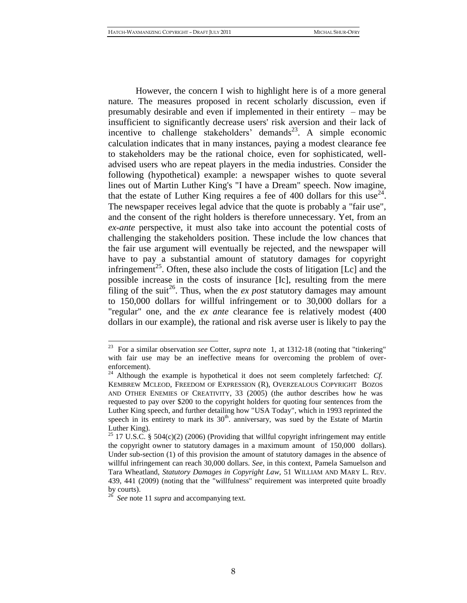<span id="page-7-0"></span>However, the concern I wish to highlight here is of a more general nature. The measures proposed in recent scholarly discussion, even if presumably desirable and even if implemented in their entirety – may be insufficient to significantly decrease users' risk aversion and their lack of incentive to challenge stakeholders' demands<sup>23</sup>. A simple economic calculation indicates that in many instances, paying a modest clearance fee to stakeholders may be the rational choice, even for sophisticated, welladvised users who are repeat players in the media industries. Consider the following (hypothetical) example: a newspaper wishes to quote several lines out of Martin Luther King's "I have a Dream" speech. Now imagine, that the estate of Luther King requires a fee of 400 dollars for this use<sup>24</sup>. The newspaper receives legal advice that the quote is probably a "fair use", and the consent of the right holders is therefore unnecessary. Yet, from an *ex-ante* perspective, it must also take into account the potential costs of challenging the stakeholders position. These include the low chances that the fair use argument will eventually be rejected, and the newspaper will have to pay a substantial amount of statutory damages for copyright infringement<sup>25</sup>. Often, these also include the costs of litigation [Lc] and the possible increase in the costs of insurance [Ic], resulting from the mere filing of the suit<sup>26</sup>. Thus, when the *ex post* statutory damages may amount to 150,000 dollars for willful infringement or to 30,000 dollars for a "regular" one, and the *ex ante* clearance fee is relatively modest (400 dollars in our example), the rational and risk averse user is likely to pay the

<sup>23</sup> For a similar observation *see* Cotter, *supra* note [1,](#page-1-1) at 1312-18 (noting that "tinkering" with fair use may be an ineffective means for overcoming the problem of overenforcement).

<sup>24</sup> Although the example is hypothetical it does not seem completely farfetched: *Cf.* KEMBREW MCLEOD, FREEDOM OF EXPRESSION (R), OVERZEALOUS COPYRIGHT BOZOS AND OTHER ENEMIES OF CREATIVITY, 33 (2005) (the author describes how he was requested to pay over \$200 to the copyright holders for quoting four sentences from the Luther King speech, and further detailing how "USA Today", which in 1993 reprinted the speech in its entirety to mark its  $30<sup>th</sup>$ . anniversary, was sued by the Estate of Martin Luther King).

<sup>&</sup>lt;sup>25</sup> 17 U.S.C. § 504(c)(2) (2006) (Providing that willful copyright infringement may entitle the copyright owner to statutory damages in a maximum amount of 150,000 dollars). Under sub-section (1) of this provision the amount of statutory damages in the absence of willful infringement can reach 30,000 dollars. *See,* in this context, Pamela Samuelson and Tara Wheatland, *Statutory Damages in Copyright Law,* 51 WILLIAM AND MARY L. REV. 439, 441 (2009) (noting that the "willfulness" requirement was interpreted quite broadly by courts).

<sup>26</sup> *See* not[e 11](#page-4-1) *supra* and accompanying text*.*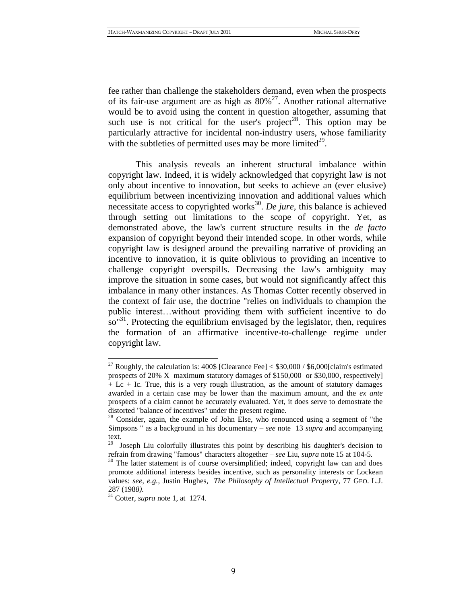<span id="page-8-1"></span><span id="page-8-0"></span>fee rather than challenge the stakeholders demand, even when the prospects of its fair-use argument are as high as  $80\%^{27}$ . Another rational alternative would be to avoid using the content in question altogether, assuming that such use is not critical for the user's project<sup>28</sup>. This option may be particularly attractive for incidental non-industry users, whose familiarity with the subtleties of permitted uses may be more limited $^{29}$ .

<span id="page-8-2"></span>This analysis reveals an inherent structural imbalance within copyright law. Indeed, it is widely acknowledged that copyright law is not only about incentive to innovation, but seeks to achieve an (ever elusive) equilibrium between incentivizing innovation and additional values which necessitate access to copyrighted works<sup>30</sup>. De jure, this balance is achieved through setting out limitations to the scope of copyright. Yet, as demonstrated above, the law's current structure results in the *de facto*  expansion of copyright beyond their intended scope. In other words, while copyright law is designed around the prevailing narrative of providing an incentive to innovation, it is quite oblivious to providing an incentive to challenge copyright overspills. Decreasing the law's ambiguity may improve the situation in some cases, but would not significantly affect this imbalance in many other instances. As Thomas Cotter recently observed in the context of fair use, the doctrine "relies on individuals to champion the public interest…without providing them with sufficient incentive to do so"<sup>31</sup>. Protecting the equilibrium envisaged by the legislator, then, requires the formation of an affirmative incentive-to-challenge regime under copyright law.

<sup>&</sup>lt;sup>27</sup> Roughly, the calculation is:  $400\$  [Clearance Fee]  $<$  \$30,000 / \$6,000 [claim's estimated prospects of 20% X maximum statutory damages of \$150,000 or \$30,000, respectively]  $+$  Lc  $+$  Ic. True, this is a very rough illustration, as the amount of statutory damages awarded in a certain case may be lower than the maximum amount, and the *ex ante*  prospects of a claim cannot be accurately evaluated. Yet, it does serve to demostrate the distorted "balance of incentives" under the present regime.

<sup>&</sup>lt;sup>28</sup> Consider, again, the example of John Else, who renounced using a segment of "the Simpsons " as a background in his documentary – *see* note [13](#page-4-2) *supra* and accompanying text*.*

 $29$  Joseph Liu colorfully illustrates this point by describing his daughter's decision to refrain from drawing "famous" characters altogether – *see* Liu, *supra* not[e 15](#page-5-3) at 104-5*.*

<sup>&</sup>lt;sup>30</sup> The latter statement is of course oversimplified; indeed, copyright law can and does promote additional interests besides incentive, such as personality interests or Lockean values: *see, e.g.,* Justin Hughes, *The Philosophy of Intellectual Property*, 77 GEO. L.J. 287 (198*8).*

<sup>31</sup> Cotter, *supra* note [1,](#page-1-1) at 1274.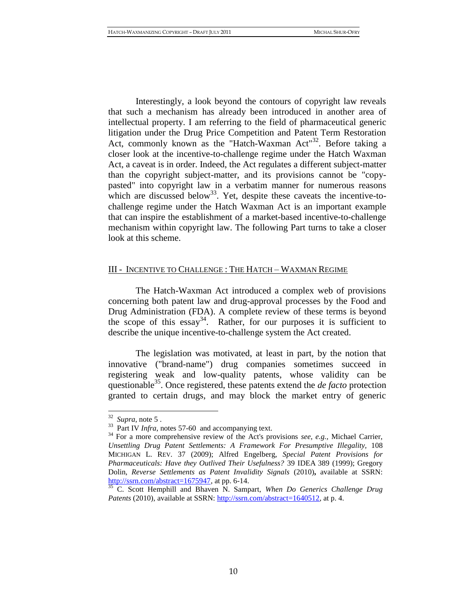Interestingly, a look beyond the contours of copyright law reveals that such a mechanism has already been introduced in another area of intellectual property. I am referring to the field of pharmaceutical generic litigation under the Drug Price Competition and Patent Term Restoration Act, commonly known as the "Hatch-Waxman Act"<sup>32</sup>. Before taking a closer look at the incentive-to-challenge regime under the Hatch Waxman Act, a caveat is in order. Indeed, the Act regulates a different subject-matter than the copyright subject-matter, and its provisions cannot be "copypasted" into copyright law in a verbatim manner for numerous reasons which are discussed below<sup>33</sup>. Yet, despite these caveats the incentive-tochallenge regime under the Hatch Waxman Act is an important example that can inspire the establishment of a market-based incentive-to-challenge mechanism within copyright law. The following Part turns to take a closer look at this scheme.

# <span id="page-9-0"></span>III - INCENTIVE TO CHALLENGE : THE HATCH – WAXMAN REGIME

The Hatch-Waxman Act introduced a complex web of provisions concerning both patent law and drug-approval processes by the Food and Drug Administration (FDA). A complete review of these terms is beyond the scope of this  $essay<sup>34</sup>$ . Rather, for our purposes it is sufficient to describe the unique incentive-to-challenge system the Act created.

<span id="page-9-2"></span><span id="page-9-1"></span>The legislation was motivated, at least in part, by the notion that innovative ("brand-name") drug companies sometimes succeed in registering weak and low-quality patents, whose validity can be questionable<sup>35</sup>. Once registered, these patents extend the *de facto* protection granted to certain drugs, and may block the market entry of generic

 $32$  *Supra*, note [5](#page-2-1).

<sup>&</sup>lt;sup>33</sup> Part IV *Infra*, notes [57](#page-14-0)[-60](#page-14-1) and accompanying text.

<sup>34</sup> For a more comprehensive review of the Act's provisions *see, e.g.,* Michael Carrier, *Unsettling Drug Patent Settlements: A Framework For Presumptive Illegality, 108* MICHIGAN L. REV. 37 (2009); Alfred Engelberg, *Special Patent Provisions for Pharmaceuticals: Have they Outlived Their Usefulness?* 39 IDEA 389 (1999); Gregory Dolin, *Reverse Settlements as Patent Invalidity Signals* (2010)**,** available at SSRN: [http://ssrn.com/abstract=1675947,](http://ssrn.com/abstract=1675947) at pp. 6-14.

<sup>35</sup> C. Scott Hemphill and Bhaven N. Sampart, *When Do Generics Challenge Drug Patents* (2010), available at SSRN[: http://ssrn.com/abstract=1640512,](http://ssrn.com/abstract=1640512) at p. 4.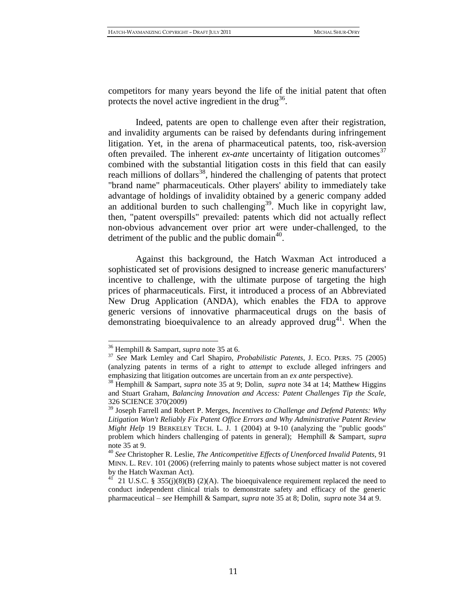competitors for many years beyond the life of the initial patent that often protects the novel active ingredient in the drug<sup>36</sup>.

<span id="page-10-0"></span>Indeed, patents are open to challenge even after their registration, and invalidity arguments can be raised by defendants during infringement litigation. Yet, in the arena of pharmaceutical patents, too, risk-aversion often prevailed. The inherent *ex-ante* uncertainty of litigation outcomes 37 combined with the substantial litigation costs in this field that can easily reach millions of dollars<sup>38</sup>, hindered the challenging of patents that protect "brand name" pharmaceuticals. Other players' ability to immediately take advantage of holdings of invalidity obtained by a generic company added an additional burden to such challenging<sup>39</sup>. Much like in copyright law, then, "patent overspills" prevailed: patents which did not actually reflect non-obvious advancement over prior art were under-challenged, to the detriment of the public and the public domain<sup>40</sup>.

<span id="page-10-1"></span>Against this background, the Hatch Waxman Act introduced a sophisticated set of provisions designed to increase generic manufacturers' incentive to challenge, with the ultimate purpose of targeting the high prices of pharmaceuticals. First, it introduced a process of an Abbreviated New Drug Application (ANDA), which enables the FDA to approve generic versions of innovative pharmaceutical drugs on the basis of demonstrating bioequivalence to an already approved drug<sup>41</sup>. When the

<sup>36</sup> Hemphill & Sampart, *supra* note [35](#page-9-1) at 6.

<sup>37</sup> *See* Mark Lemley and Carl Shapiro, *Probabilistic Patents*, J. ECO. PERS. 75 (2005) (analyzing patents in terms of a right to *attempt* to exclude alleged infringers and emphasizing that litigation outcomes are uncertain from an *ex ante* perspective).

<sup>38</sup> Hemphill & Sampart, *supra* note [35](#page-9-1) at 9; Dolin, *supra* note [34](#page-9-2) at 14; Matthew Higgins and Stuart Graham, *Balancing Innovation and Access: Patent Challenges Tip the Scale,*  326 SCIENCE 370(2009)

<sup>39</sup> Joseph Farrell and Robert P. Merges, *Incentives to Challenge and Defend Patents: Why Litigation Won't Reliably Fix Patent Office Errors and Why Administrative Patent Review Might Help* 19 BERKELEY TECH. L. J. 1 (2004) at 9-10 (analyzing the "public goods" problem which hinders challenging of patents in general); Hemphill & Sampart, *supra*  not[e 35](#page-9-1) at 9.

<sup>40</sup> *See* Christopher R. Leslie, *The Anticompetitive Effects of Unenforced Invalid Patents,* 91 MINN. L. REV. 101 (2006) (referring mainly to patents whose subject matter is not covered by the Hatch Waxman Act).

<sup>21</sup> U.S.C. § 355(j)(8)(B) (2)(A). The bioequivalence requirement replaced the need to conduct independent clinical trials to demonstrate safety and efficacy of the generic pharmaceutical – *see* Hemphill & Sampart, *supra* note [35](#page-9-1) at 8; Dolin, *supra* note [34](#page-9-2) at 9.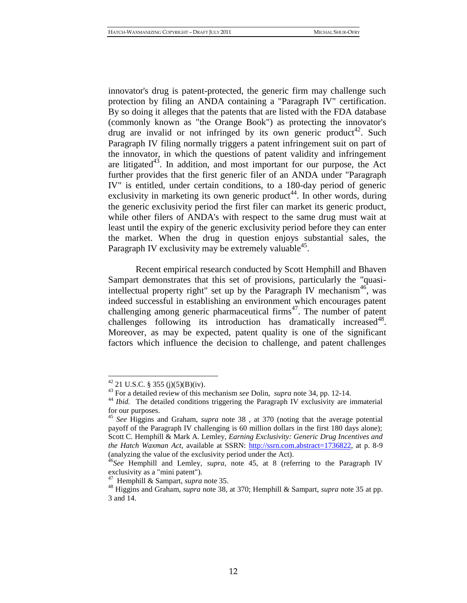innovator's drug is patent-protected, the generic firm may challenge such protection by filing an ANDA containing a "Paragraph IV" certification. By so doing it alleges that the patents that are listed with the FDA database (commonly known as "the Orange Book") as protecting the innovator's drug are invalid or not infringed by its own generic product<sup>42</sup>. Such Paragraph IV filing normally triggers a patent infringement suit on part of the innovator, in which the questions of patent validity and infringement are litigated<sup>43</sup>. In addition, and most important for our purpose, the Act further provides that the first generic filer of an ANDA under "Paragraph IV" is entitled, under certain conditions, to a 180-day period of generic exclusivity in marketing its own generic product<sup>44</sup>. In other words, during the generic exclusivity period the first filer can market its generic product, while other filers of ANDA's with respect to the same drug must wait at least until the expiry of the generic exclusivity period before they can enter the market. When the drug in question enjoys substantial sales, the Paragraph IV exclusivity may be extremely valuable<sup>45</sup>.

<span id="page-11-0"></span>Recent empirical research conducted by Scott Hemphill and Bhaven Sampart demonstrates that this set of provisions, particularly the "quasiintellectual property right" set up by the Paragraph IV mechanism<sup>46</sup>, was indeed successful in establishing an environment which encourages patent challenging among generic pharmaceutical firms<sup> $47$ </sup>. The number of patent challenges following its introduction has dramatically increased<sup>48</sup>. Moreover, as may be expected, patent quality is one of the significant factors which influence the decision to challenge, and patent challenges

 $42$  21 U.S.C. § 355 (j)(5)(B)(iv).

<sup>43</sup> For a detailed review of this mechanism *see* Dolin, *supra* not[e 34,](#page-9-2) pp. 12-14.

<sup>&</sup>lt;sup>44</sup> *Ibid.* The detailed conditions triggering the Paragraph IV exclusivity are immaterial for our purposes.

<sup>45</sup> *See* Higgins and Graham, *supra* note [38](#page-10-0) , at 370 (noting that the average potential payoff of the Paragraph IV challenging is 60 million dollars in the first 180 days alone); Scott C. Hemphill & Mark A. Lemley, *Earning Exclusivity: Generic Drug Incentives and the Hatch Waxman Act, available at SSRN: [http://ssrn.com.abstract=1736822,](http://ssrn.com.abstract=1736822/) at p. 8-9* (analyzing the value of the exclusivity period under the Act).

<sup>&</sup>lt;sup>46</sup>See Hemphill and Lemley, *supra*, note [45,](#page-11-0) at 8 (referring to the Paragraph IV exclusivity as a "mini patent").

<sup>47</sup> Hemphill & Sampart, *supra* note [35.](#page-9-1) 

<sup>48</sup> Higgins and Graham, *supra* note [38,](#page-10-0) at 370; Hemphill & Sampart, *supra* note [35](#page-9-1) at pp. 3 and 14.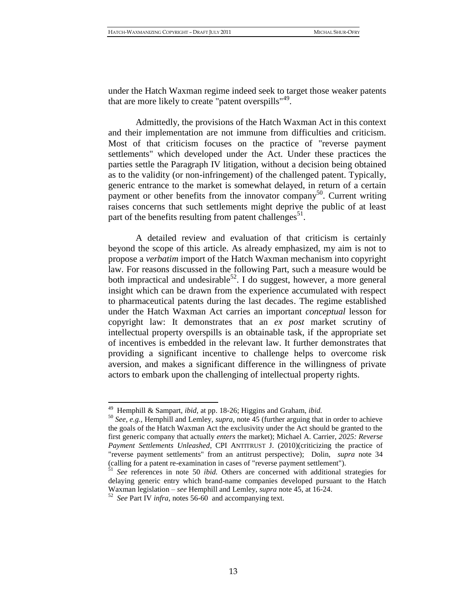under the Hatch Waxman regime indeed seek to target those weaker patents that are more likely to create "patent overspills"<sup>49</sup>.

Admittedly, the provisions of the Hatch Waxman Act in this context and their implementation are not immune from difficulties and criticism. Most of that criticism focuses on the practice of "reverse payment settlements" which developed under the Act. Under these practices the parties settle the Paragraph IV litigation, without a decision being obtained as to the validity (or non-infringement) of the challenged patent. Typically, generic entrance to the market is somewhat delayed, in return of a certain payment or other benefits from the innovator company<sup>50</sup>. Current writing raises concerns that such settlements might deprive the public of at least part of the benefits resulting from patent challenges<sup>51</sup>.

<span id="page-12-0"></span>A detailed review and evaluation of that criticism is certainly beyond the scope of this article. As already emphasized, my aim is not to propose a *verbatim* import of the Hatch Waxman mechanism into copyright law. For reasons discussed in the following Part, such a measure would be both impractical and undesirable<sup>52</sup>. I do suggest, however, a more general insight which can be drawn from the experience accumulated with respect to pharmaceutical patents during the last decades. The regime established under the Hatch Waxman Act carries an important *conceptual* lesson for copyright law: It demonstrates that an *ex post* market scrutiny of intellectual property overspills is an obtainable task, if the appropriate set of incentives is embedded in the relevant law. It further demonstrates that providing a significant incentive to challenge helps to overcome risk aversion, and makes a significant difference in the willingness of private actors to embark upon the challenging of intellectual property rights.

<sup>49</sup> Hemphill & Sampart, *ibid,* at pp. 18-26; Higgins and Graham, *ibid.*

<sup>50</sup> *See, e.g.,* Hemphill and Lemley, *supra,* note [45](#page-11-0) (further arguing that in order to achieve the goals of the Hatch Waxman Act the exclusivity under the Act should be granted to the first generic company that actually *enters* the market); Michael A. Carrier, *2025: Reverse Payment Settlements Unleashed*, CPI ANTITRUST J. (2010)(criticizing the practice of "reverse payment settlements" from an antitrust perspective); Dolin, *supra* note [34](#page-9-2) (calling for a patent re-examination in cases of "reverse payment settlement").

<sup>51</sup> *See* references in note [50](#page-12-0) *ibid.* Others are concerned with additional strategies for delaying generic entry which brand-name companies developed pursuant to the Hatch Waxman legislation – *see* Hemphill and Lemley, *supra* note [45,](#page-11-0) at 16-24.

<sup>52</sup> *See* Part IV *infra,* note[s 56-](#page-14-2)[60](#page-14-1) and accompanying text.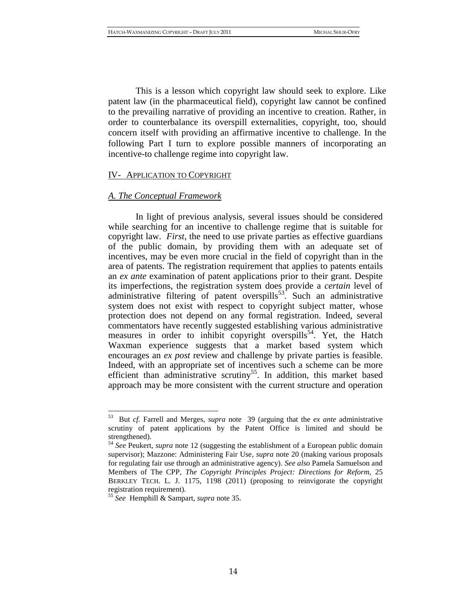This is a lesson which copyright law should seek to explore. Like patent law (in the pharmaceutical field), copyright law cannot be confined to the prevailing narrative of providing an incentive to creation. Rather, in order to counterbalance its overspill externalities, copyright, too, should concern itself with providing an affirmative incentive to challenge. In the following Part I turn to explore possible manners of incorporating an incentive-to challenge regime into copyright law.

#### <span id="page-13-0"></span>IV- APPLICATION TO COPYRIGHT

#### <span id="page-13-1"></span>*A. The Conceptual Framework*

In light of previous analysis, several issues should be considered while searching for an incentive to challenge regime that is suitable for copyright law. *First*, the need to use private parties as effective guardians of the public domain, by providing them with an adequate set of incentives, may be even more crucial in the field of copyright than in the area of patents. The registration requirement that applies to patents entails an *ex ante* examination of patent applications prior to their grant. Despite its imperfections, the registration system does provide a *certain* level of administrative filtering of patent overspills<sup>53</sup>. Such an administrative system does not exist with respect to copyright subject matter, whose protection does not depend on any formal registration. Indeed, several commentators have recently suggested establishing various administrative measures in order to inhibit copyright overspills<sup>54</sup>. Yet, the Hatch Waxman experience suggests that a market based system which encourages an *ex post* review and challenge by private parties is feasible. Indeed, with an appropriate set of incentives such a scheme can be more efficient than administrative scrutiny<sup>55</sup>. In addition, this market based approach may be more consistent with the current structure and operation

<sup>53</sup> But *cf.* Farrell and Merges, *supra* note [39](#page-10-1) (arguing that the *ex ante* administrative scrutiny of patent applications by the Patent Office is limited and should be strengthened).

<sup>54</sup> *See* Peukert, *supra* note [12](#page-4-0) (suggesting the establishment of a European public domain supervisor); Mazzone: Administering Fair Use*, supra* note [20](#page-6-2) (making various proposals for regulating fair use through an administrative agency). *See also* Pamela Samuelson and Members of The CPP, *The Copyright Principles Project: Directions for Reform,* 25 BERKLEY TECH. L. J. 1175, 1198 (2011) (proposing to reinvigorate the copyright registration requirement).

<sup>55</sup> *See* Hemphill & Sampart, *supra* note [35.](#page-9-1)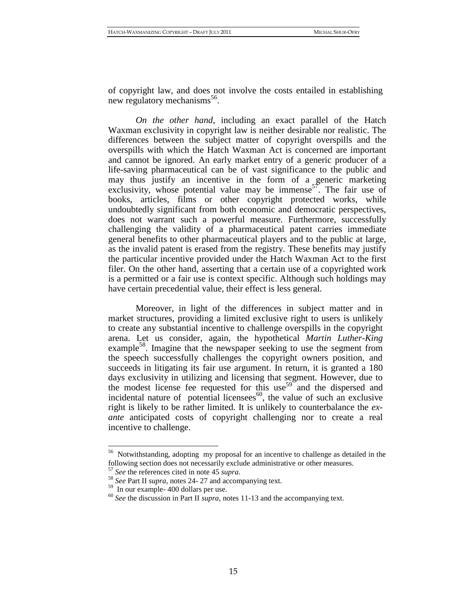<span id="page-14-2"></span>of copyright law, and does not involve the costs entailed in establishing new regulatory mechanisms<sup>56</sup>.

<span id="page-14-0"></span>*On the other hand*, including an exact parallel of the Hatch Waxman exclusivity in copyright law is neither desirable nor realistic. The differences between the subject matter of copyright overspills and the overspills with which the Hatch Waxman Act is concerned are important and cannot be ignored. An early market entry of a generic producer of a life-saving pharmaceutical can be of vast significance to the public and may thus justify an incentive in the form of a generic marketing exclusivity, whose potential value may be immense<sup>57</sup>. The fair use of books, articles, films or other copyright protected works, while undoubtedly significant from both economic and democratic perspectives, does not warrant such a powerful measure. Furthermore, successfully challenging the validity of a pharmaceutical patent carries immediate general benefits to other pharmaceutical players and to the public at large, as the invalid patent is erased from the registry. These benefits may justify the particular incentive provided under the Hatch Waxman Act to the first filer. On the other hand, asserting that a certain use of a copyrighted work is a permitted or a fair use is context specific. Although such holdings may have certain precedential value, their effect is less general.

Moreover, in light of the differences in subject matter and in market structures, providing a limited exclusive right to users is unlikely to create any substantial incentive to challenge overspills in the copyright arena. Let us consider, again, the hypothetical *Martin Luther-King*  example<sup>58</sup>. Imagine that the newspaper seeking to use the segment from the speech successfully challenges the copyright owners position, and succeeds in litigating its fair use argument. In return, it is granted a 180 days exclusivity in utilizing and licensing that segment. However, due to the modest license fee requested for this use<sup>59</sup> and the dispersed and incidental nature of potential licensees $^{60}$ , the value of such an exclusive right is likely to be rather limited. It is unlikely to counterbalance the *exante* anticipated costs of copyright challenging nor to create a real incentive to challenge.

<span id="page-14-1"></span><sup>&</sup>lt;sup>56</sup> Notwithstanding, adopting my proposal for an incentive to challenge as detailed in the following section does not necessarily exclude administrative or other measures.

<sup>57</sup> *See* the references cited in note [45](#page-11-0) *supra.*

<sup>58</sup> *See* Part II *supra*, note[s 24-](#page-7-0) [27](#page-8-0) and accompanying text.

 $59 \text{ In our example} - 400 \text{ dollars per use.}$ 

<sup>60</sup> *See* the discussion in Part II *supra,* note[s 11](#page-4-1)[-13](#page-4-2) and the accompanying text.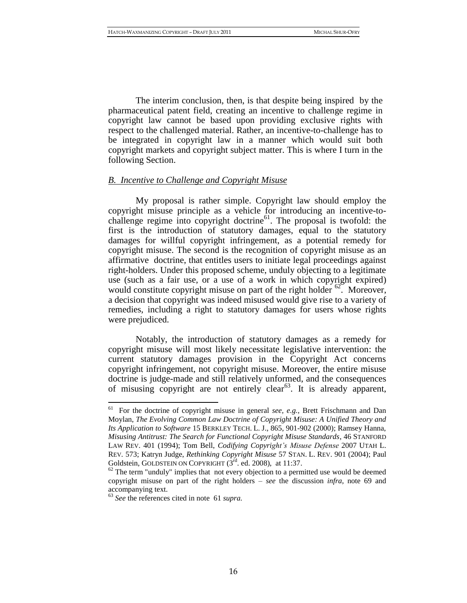The interim conclusion, then, is that despite being inspired by the pharmaceutical patent field, creating an incentive to challenge regime in copyright law cannot be based upon providing exclusive rights with respect to the challenged material. Rather, an incentive-to-challenge has to be integrated in copyright law in a manner which would suit both copyright markets and copyright subject matter. This is where I turn in the following Section.

# <span id="page-15-0"></span>*B. Incentive to Challenge and Copyright Misuse*

<span id="page-15-1"></span>My proposal is rather simple. Copyright law should employ the copyright misuse principle as a vehicle for introducing an incentive-tochallenge regime into copyright doctrine<sup>61</sup>. The proposal is twofold: the first is the introduction of statutory damages, equal to the statutory damages for willful copyright infringement, as a potential remedy for copyright misuse. The second is the recognition of copyright misuse as an affirmative doctrine, that entitles users to initiate legal proceedings against right-holders. Under this proposed scheme, unduly objecting to a legitimate use (such as a fair use, or a use of a work in which copyright expired) would constitute copyright misuse on part of the right holder  $62$ . Moreover, a decision that copyright was indeed misused would give rise to a variety of remedies, including a right to statutory damages for users whose rights were prejudiced.

Notably, the introduction of statutory damages as a remedy for copyright misuse will most likely necessitate legislative intervention: the current statutory damages provision in the Copyright Act concerns copyright infringement, not copyright misuse. Moreover, the entire misuse doctrine is judge-made and still relatively unformed, and the consequences of misusing copyright are not entirely clear<sup>63</sup>. It is already apparent,

<sup>61</sup> <sup>61</sup> For the doctrine of copyright misuse in general *see, e.g.,* Brett Frischmann and Dan Moylan, *The Evolving Common Law Doctrine of Copyright Misuse: A Unified Theory and Its Application to Software* 15 BERKLEY TECH. L. J., 865, 901-902 (2000); Ramsey Hanna, *Misusing Antitrust: The Search for Functional Copyright Misuse Standards*, 46 STANFORD LAW REV. 401 (1994); Tom Bell, *Codifying Copyright's Misuse Defense* 2007 UTAH L. REV*.* 573; Katryn Judge, *Rethinking Copyright Misuse* 57 STAN. L. REV. 901 (2004); Paul Goldstein, GOLDSTEIN ON COPYRIGHT  $(3<sup>rd</sup>$ . ed. 2008), at 11:37.

 $62$  The term "unduly" implies that not every objection to a permitted use would be deemed copyright misuse on part of the right holders – *see* the discussion *infra*, note [69](#page-17-0) and accompanying text.

<sup>63</sup> *See* the references cited in note [61](#page-15-1) *supra.*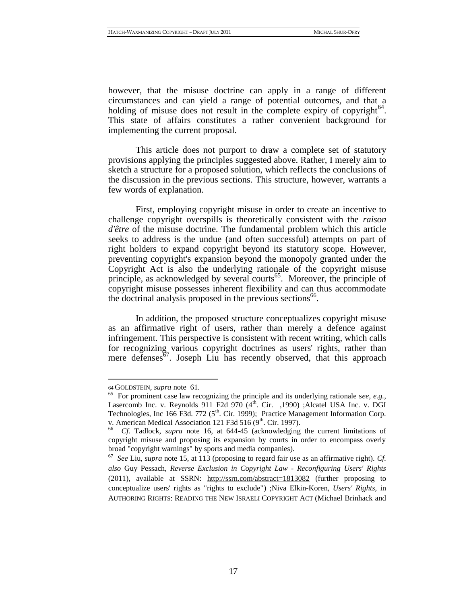however, that the misuse doctrine can apply in a range of different circumstances and can yield a range of potential outcomes, and that a holding of misuse does not result in the complete expiry of copyright $^{64}$ . This state of affairs constitutes a rather convenient background for implementing the current proposal.

This article does not purport to draw a complete set of statutory provisions applying the principles suggested above. Rather, I merely aim to sketch a structure for a proposed solution, which reflects the conclusions of the discussion in the previous sections. This structure, however, warrants a few words of explanation.

First, employing copyright misuse in order to create an incentive to challenge copyright overspills is theoretically consistent with the *raison d'être* of the misuse doctrine. The fundamental problem which this article seeks to address is the undue (and often successful) attempts on part of right holders to expand copyright beyond its statutory scope. However, preventing copyright's expansion beyond the monopoly granted under the Copyright Act is also the underlying rationale of the copyright misuse principle, as acknowledged by several courts<sup>65</sup>. Moreover, the principle of copyright misuse possesses inherent flexibility and can thus accommodate the doctrinal analysis proposed in the previous sections<sup>66</sup>.

In addition, the proposed structure conceptualizes copyright misuse as an affirmative right of users, rather than merely a defence against infringement. This perspective is consistent with recent writing, which calls for recognizing various copyright doctrines as users' rights, rather than mere defenses<sup>67</sup>. Joseph Liu has recently observed, that this approach

<sup>64</sup> GOLDSTEIN, *supra* note [61](#page-15-1)*.*

<sup>65</sup> For prominent case law recognizing the principle and its underlying rationale s*ee*, *e.g.,* Lasercomb Inc. v. Reynolds 911 F2d 970  $(4<sup>th</sup>$ . Cir. ,1990) ;Alcatel USA Inc. v. DGI Technologies, Inc 166 F3d. 772 ( $5<sup>th</sup>$ . Cir. 1999); Practice Management Information Corp. v. American Medical Association 121 F3d 516 (9<sup>th</sup>. Cir. 1997).

<sup>66</sup> *Cf.* Tadlock, *supra* note [16,](#page-5-2) at 644-45 (acknowledging the current limitations of copyright misuse and proposing its expansion by courts in order to encompass overly broad "copyright warnings" by sports and media companies).

<sup>67</sup> *See* Liu, *supra* note [15,](#page-5-3) at 113 (proposing to regard fair use as an affirmative right). *Cf. also* Guy Pessach, *Reverse Exclusion in Copyright Law - Reconfiguring Users' Rights* (2011), available at SSRN: <http://ssrn.com/abstract=1813082> (further proposing to conceptualize users' rights as "rights to exclude") ;Niva Elkin-Koren, *Users' Rights,* in AUTHORING RIGHTS: READING THE NEW ISRAELI COPYRIGHT ACT (Michael Brinhack and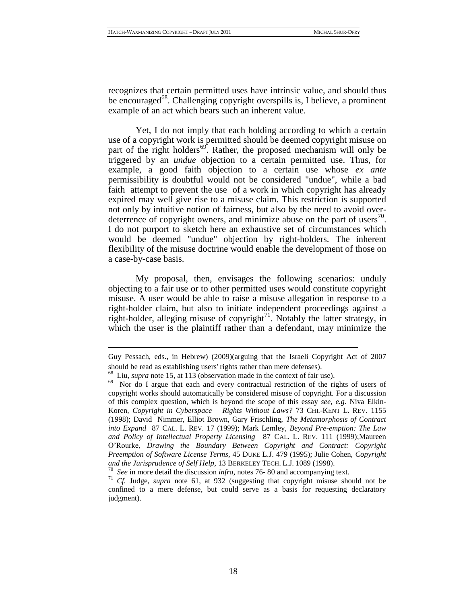recognizes that certain permitted uses have intrinsic value, and should thus be encouraged<sup>68</sup>. Challenging copyright overspills is, I believe, a prominent example of an act which bears such an inherent value.

<span id="page-17-0"></span>Yet, I do not imply that each holding according to which a certain use of a copyright work is permitted should be deemed copyright misuse on part of the right holders<sup>69</sup>. Rather, the proposed mechanism will only be triggered by an *undue* objection to a certain permitted use. Thus, for example, a good faith objection to a certain use whose *ex ante*  permissibility is doubtful would not be considered "undue", while a bad faith attempt to prevent the use of a work in which copyright has already expired may well give rise to a misuse claim. This restriction is supported not only by intuitive notion of fairness, but also by the need to avoid overdeterrence of copyright owners, and minimize abuse on the part of users<sup>70</sup>. I do not purport to sketch here an exhaustive set of circumstances which would be deemed "undue" objection by right-holders. The inherent flexibility of the misuse doctrine would enable the development of those on a case-by-case basis.

<span id="page-17-1"></span>My proposal, then, envisages the following scenarios: unduly objecting to a fair use or to other permitted uses would constitute copyright misuse. A user would be able to raise a misuse allegation in response to a right-holder claim, but also to initiate independent proceedings against a right-holder, alleging misuse of copyright<sup>71</sup>. Notably the latter strategy, in which the user is the plaintiff rather than a defendant, may minimize the

Guy Pessach, eds., in Hebrew) (2009)(arguing that the Israeli Copyright Act of 2007 should be read as establishing users' rights rather than mere defenses).

<sup>68</sup> Liu, *supra* note [15,](#page-5-3) at 113 (observation made in the context of fair use).

<sup>&</sup>lt;sup>69</sup> Nor do I argue that each and every contractual restriction of the rights of users of copyright works should automatically be considered misuse of copyright. For a discussion of this complex question, which is beyond the scope of this essay *see, e.g.* Niva Elkin-Koren, *Copyright in Cyberspace – Rights Without Laws?* 73 CHI.-KENT L. REV. 1155 (1998); David Nimmer, Elliot Brown, Gary Frischling, *The Metamorphosis of Contract into Expand* 87 CAL. L. REV. 17 (1999); Mark Lemley, *Beyond Pre-emption: The Law and Policy of Intellectual Property Licensing* 87 CAL. L. REV. 111 (1999);Maureen O'Rourke, *Drawing the Boundary Between Copyright and Contract: Copyright Preemption of Software License Terms*, 45 DUKE L.J. 479 (1995); Julie Cohen, *Copyright and the Jurisprudence of Self Help,* 13 BERKELEY TECH. L.J. 1089 (1998).

<sup>70</sup> *See* in more detail the discussion *infra,* notes [76-](#page-18-0) [80](#page-19-0) and accompanying text.

<sup>71</sup> *Cf.* Judge, *supra* note [61,](#page-15-1) at 932 (suggesting that copyright misuse should not be confined to a mere defense, but could serve as a basis for requesting declaratory judgment).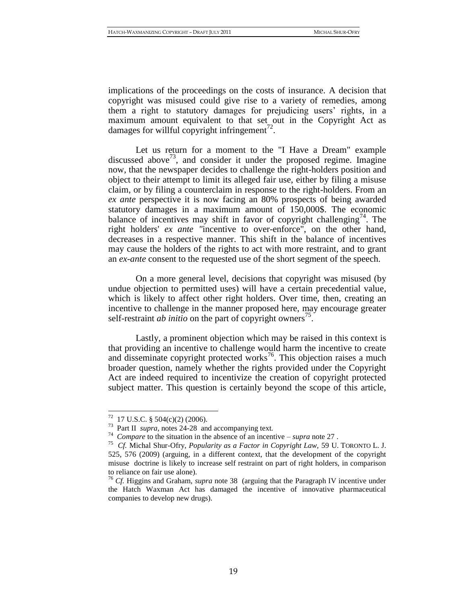implications of the proceedings on the costs of insurance. A decision that copyright was misused could give rise to a variety of remedies, among them a right to statutory damages for prejudicing users' rights, in a maximum amount equivalent to that set out in the Copyright Act as damages for willful copyright infringement<sup>72</sup>.

Let us return for a moment to the "I Have a Dream" example discussed above<sup>73</sup>, and consider it under the proposed regime. Imagine now, that the newspaper decides to challenge the right-holders position and object to their attempt to limit its alleged fair use, either by filing a misuse claim, or by filing a counterclaim in response to the right-holders. From an *ex ante* perspective it is now facing an 80% prospects of being awarded statutory damages in a maximum amount of 150,000\$. The economic balance of incentives may shift in favor of copyright challenging<sup>74</sup>. The right holders' *ex ante "*incentive to over-enforce", on the other hand, decreases in a respective manner. This shift in the balance of incentives may cause the holders of the rights to act with more restraint, and to grant an *ex-ante* consent to the requested use of the short segment of the speech.

On a more general level, decisions that copyright was misused (by undue objection to permitted uses) will have a certain precedential value, which is likely to affect other right holders. Over time, then, creating an incentive to challenge in the manner proposed here, may encourage greater self-restraint *ab initio* on the part of copyright owners<sup>75</sup>.

<span id="page-18-0"></span>Lastly, a prominent objection which may be raised in this context is that providing an incentive to challenge would harm the incentive to create and disseminate copyright protected works<sup>76</sup>. This objection raises a much broader question, namely whether the rights provided under the Copyright Act are indeed required to incentivize the creation of copyright protected subject matter. This question is certainly beyond the scope of this article,

 $^{72}$  17 U.S.C. § 504(c)(2) (2006).

<sup>73</sup> Part II *supra,* notes [24](#page-7-0)[-28](#page-8-1)and accompanying text*.*

<sup>74</sup> *Compare* to the situation in the absence of an incentive – *supra* not[e 27](#page-8-0) .

<sup>75</sup> *Cf.* Michal Shur-Ofry, *Popularity as a Factor in Copyright Law,* 59 U. TORONTO L. J. 525, 576 (2009) (arguing, in a different context, that the development of the copyright misuse doctrine is likely to increase self restraint on part of right holders, in comparison to reliance on fair use alone).

<sup>76</sup> *Cf.* Higgins and Graham, *supra* note [38](#page-10-0) (arguing that the Paragraph IV incentive under the Hatch Waxman Act has damaged the incentive of innovative pharmaceutical companies to develop new drugs).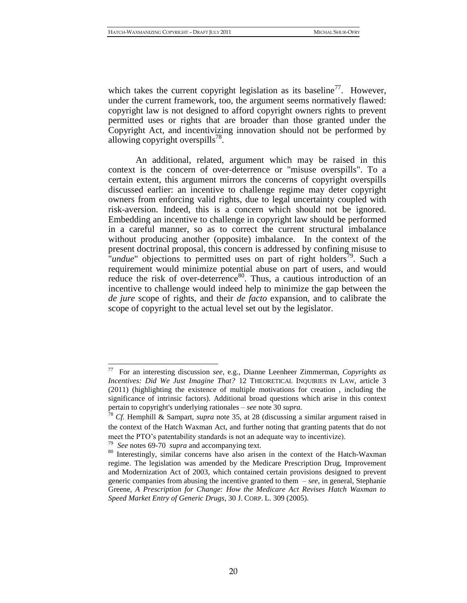which takes the current copyright legislation as its baseline<sup>77</sup>. However, under the current framework, too, the argument seems normatively flawed: copyright law is not designed to afford copyright owners rights to prevent permitted uses or rights that are broader than those granted under the Copyright Act, and incentivizing innovation should not be performed by allowing copyright overspills $^{78}$ .

An additional, related, argument which may be raised in this context is the concern of over-deterrence or "misuse overspills". To a certain extent, this argument mirrors the concerns of copyright overspills discussed earlier: an incentive to challenge regime may deter copyright owners from enforcing valid rights, due to legal uncertainty coupled with risk-aversion. Indeed, this is a concern which should not be ignored. Embedding an incentive to challenge in copyright law should be performed in a careful manner, so as to correct the current structural imbalance without producing another (opposite) imbalance. In the context of the present doctrinal proposal, this concern is addressed by confining misuse to "*undue*" objections to permitted uses on part of right holders<sup>79</sup>. Such a requirement would minimize potential abuse on part of users, and would reduce the risk of over-deterrence<sup>80</sup>. Thus, a cautious introduction of an incentive to challenge would indeed help to minimize the gap between the *de jure* scope of rights, and their *de facto* expansion, and to calibrate the scope of copyright to the actual level set out by the legislator.

<span id="page-19-0"></span><sup>77</sup> For an interesting discussion *see*, e.g., Dianne Leenheer Zimmerman, *Copyrights as Incentives: Did We Just Imagine That?* 12 THEORETICAL INQUIRIES IN LAW, article 3 (2011) (highlighting the existence of multiple motivations for creation , including the significance of intrinsic factors). Additional broad questions which arise in this context pertain to copyright's underlying rationales – *see* not[e 30](#page-8-2) *supra.*

<sup>78</sup> *Cf.* Hemphill & Sampart, *supra* note [35,](#page-9-1) at 28 (discussing a similar argument raised in the context of the Hatch Waxman Act, and further noting that granting patents that do not meet the PTO's patentability standards is not an adequate way to incentivize).

<sup>79</sup> *See* notes [69](#page-17-0)[-70](#page-17-1) *supra* and accompanying text.

<sup>80</sup> Interestingly, similar concerns have also arisen in the context of the Hatch-Waxman regime. The legislation was amended by the Medicare Prescription Drug, Improvement and Modernization Act of 2003, which contained certain provisions designed to prevent generic companies from abusing the incentive granted to them – *see,* in general, Stephanie Greene, *A Prescription for Change: How the Medicare Act Revises Hatch Waxman to Speed Market Entry of Generic Drugs*, 30 J. CORP. L. 309 (2005).